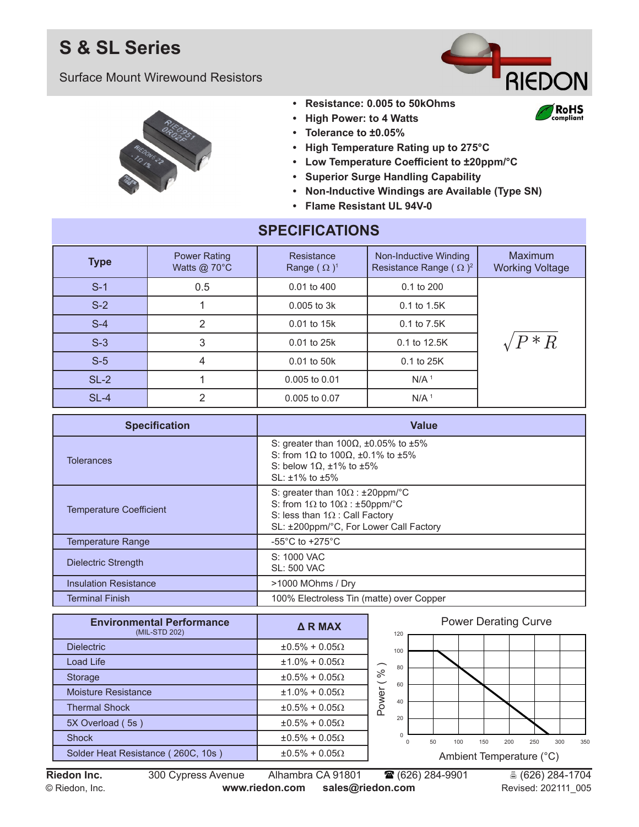## **S & SL Series**

Surface Mount Wirewound Resistors



RoHS `omnlignt



#### **• Resistance: 0.005 to 50kOhms**

- **• High Power: to 4 Watts**
- **• Tolerance to ±0.05%**
- **• High Temperature Rating up to 275°C**
- **• Low Temperature Coefficient to ±20ppm/°C**
- **• Superior Surge Handling Capability**
- **• Non-Inductive Windings are Available (Type SN)**
- **• Flame Resistant UL 94V-0**

| <b>SPECIFICATIONS</b> |                                               |                                  |                                                        |                                   |  |  |  |  |
|-----------------------|-----------------------------------------------|----------------------------------|--------------------------------------------------------|-----------------------------------|--|--|--|--|
| <b>Type</b>           | <b>Power Rating</b><br>Watts @ $70^{\circ}$ C | Resistance<br>Range $(\Omega)^1$ | Non-Inductive Winding<br>Resistance Range $(\Omega)^2$ | Maximum<br><b>Working Voltage</b> |  |  |  |  |
| $S-1$                 | 0.5                                           | 0.01 to 400                      | $0.1$ to $200$                                         |                                   |  |  |  |  |
| $S-2$                 |                                               | $0.005$ to $3k$                  | 0.1 to 1.5K                                            |                                   |  |  |  |  |
| $S-4$                 | $\overline{2}$                                | 0.01 to 15k                      | 0.1 to 7.5K                                            |                                   |  |  |  |  |
| $S-3$                 | 3                                             | 0.01 to 25k                      | 0.1 to 12.5K                                           | $/P \, {^*R}$                     |  |  |  |  |
| $S-5$                 | 4                                             | 0.01 to 50k                      | 0.1 to 25K                                             |                                   |  |  |  |  |
| $SL-2$                |                                               | $0.005$ to $0.01$                | N/A <sup>1</sup>                                       |                                   |  |  |  |  |
| $SL-4$                | 2                                             | 0.005 to 0.07                    | N/A <sup>1</sup>                                       |                                   |  |  |  |  |

**SPECIFICATIONS**

| <b>Specification</b>           | <b>Value</b>                                                                                                                                                                        |  |  |  |
|--------------------------------|-------------------------------------------------------------------------------------------------------------------------------------------------------------------------------------|--|--|--|
| <b>Tolerances</b>              | S: greater than 100 $\Omega$ , ±0.05% to ±5%<br>S: from 1 $\Omega$ to 100 $\Omega$ , ±0.1% to ±5%<br>S: below 1 $\Omega$ , ±1% to ±5%<br>$SL: \pm 1\%$ to $\pm 5\%$                 |  |  |  |
| <b>Temperature Coefficient</b> | S: greater than $10\Omega$ : $\pm 20$ ppm/°C<br>S: from $1\Omega$ to $10\Omega$ : $\pm$ 50ppm/°C<br>S: less than $1\Omega$ : Call Factory<br>SL: ±200ppm/°C, For Lower Call Factory |  |  |  |
| <b>Temperature Range</b>       | -55 $^{\circ}$ C to +275 $^{\circ}$ C                                                                                                                                               |  |  |  |
| <b>Dielectric Strength</b>     | S: 1000 VAC<br><b>SL: 500 VAC</b>                                                                                                                                                   |  |  |  |
| <b>Insulation Resistance</b>   | >1000 MOhms / Dry                                                                                                                                                                   |  |  |  |
| <b>Terminal Finish</b>         | 100% Electroless Tin (matte) over Copper                                                                                                                                            |  |  |  |

| <b>Environmental Performance</b><br>(MIL-STD 202) | $\triangle$ R MAX        |               |  |
|---------------------------------------------------|--------------------------|---------------|--|
| <b>Dielectric</b>                                 | $\pm 0.5\% + 0.05\Omega$ |               |  |
| Load Life                                         | $±1.0\% + 0.05\Omega$    |               |  |
| Storage                                           | $\pm 0.5\% + 0.05\Omega$ | $\frac{6}{6}$ |  |
| Moisture Resistance                               | $±1.0\% + 0.05\Omega$    |               |  |
| <b>Thermal Shock</b>                              | $±0.5\% + 0.05\Omega$    | Power         |  |
| 5X Overload (5s)                                  | $\pm 0.5\% + 0.05\Omega$ |               |  |
| <b>Shock</b>                                      | $\pm 0.5\% + 0.05\Omega$ |               |  |
| Solder Heat Resistance (260C, 10s)                | $\pm 0.5\% + 0.05\Omega$ |               |  |



**Riedon Inc.** 300 Cypress Avenue Alhambra CA 91801 **1** (626) 284-9901 **1** (626) 284-1704 © Riedon, Inc. **www.riedon.com sales@riedon.com** Revised: 202111\_005